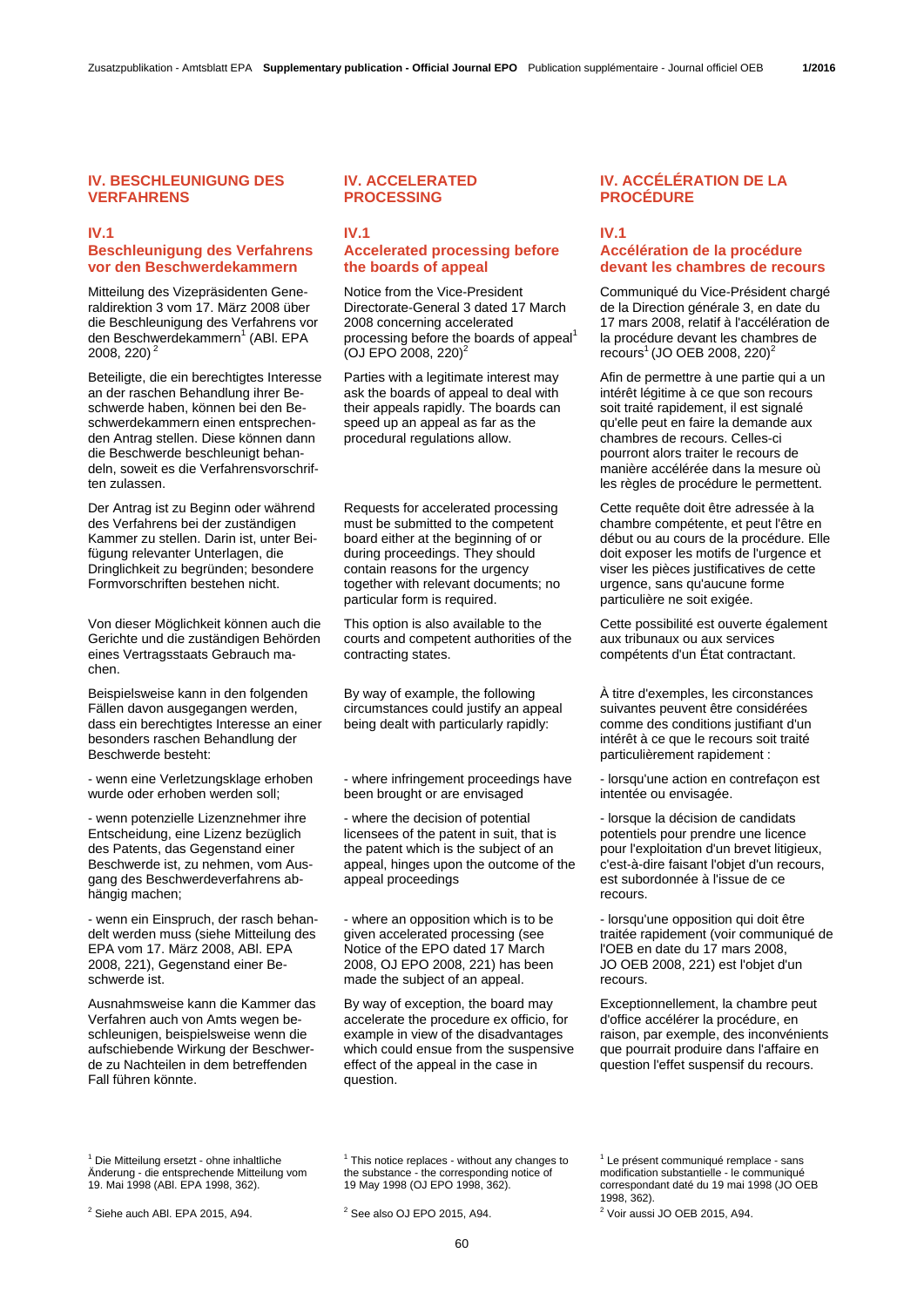## **IV. BESCHLEUNIGUNG DES VERFAHRENS**

#### **IV.1 Beschleunigung des Verfahrens vor den Beschwerdekammern**

Mitteilung des Vizepräsidenten Generaldirektion 3 vom 17. März 2008 über die Beschleunigung des Verfahrens vor den Beschwerdekammern<sup>1</sup> (ABI. EPA 2008, 220) 2

Beteiligte, die ein berechtigtes Interesse an der raschen Behandlung ihrer Beschwerde haben, können bei den Beschwerdekammern einen entsprechenden Antrag stellen. Diese können dann die Beschwerde beschleunigt behandeln, soweit es die Verfahrensvorschriften zulassen.

Der Antrag ist zu Beginn oder während des Verfahrens bei der zuständigen Kammer zu stellen. Darin ist, unter Beifügung relevanter Unterlagen, die Dringlichkeit zu begründen; besondere Formvorschriften bestehen nicht.

Von dieser Möglichkeit können auch die Gerichte und die zuständigen Behörden eines Vertragsstaats Gebrauch machen.

Beispielsweise kann in den folgenden Fällen davon ausgegangen werden, dass ein berechtigtes Interesse an einer besonders raschen Behandlung der Beschwerde besteht:

- wenn eine Verletzungsklage erhoben wurde oder erhoben werden soll;

- wenn potenzielle Lizenznehmer ihre Entscheidung, eine Lizenz bezüglich des Patents, das Gegenstand einer Beschwerde ist, zu nehmen, vom Ausgang des Beschwerdeverfahrens abhängig machen;

- wenn ein Einspruch, der rasch behandelt werden muss (siehe Mitteilung des EPA vom 17. März 2008, ABl. EPA 2008, 221), Gegenstand einer Beschwerde ist.

Ausnahmsweise kann die Kammer das Verfahren auch von Amts wegen beschleunigen, beispielsweise wenn die aufschiebende Wirkung der Beschwerde zu Nachteilen in dem betreffenden Fall führen könnte.

### **IV. ACCELERATED PROCESSING**

### **IV.1 Accelerated processing before the boards of appeal**

 Notice from the Vice-President Directorate-General 3 dated 17 March 2008 concerning accelerated processing before the boards of appeal<sup>1</sup>  $(O<sub>J</sub>$  EPO 2008, 220)<sup>2</sup>

 Parties with a legitimate interest may ask the boards of appeal to deal with their appeals rapidly. The boards can speed up an appeal as far as the procedural regulations allow.

 Requests for accelerated processing must be submitted to the competent board either at the beginning of or during proceedings. They should contain reasons for the urgency together with relevant documents; no particular form is required.

 This option is also available to the courts and competent authorities of the contracting states.

 By way of example, the following circumstances could justify an appeal being dealt with particularly rapidly:

 - where infringement proceedings have been brought or are envisaged

 - where the decision of potential licensees of the patent in suit, that is the patent which is the subject of an appeal, hinges upon the outcome of the appeal proceedings

 - where an opposition which is to be given accelerated processing (see Notice of the EPO dated 17 March 2008, OJ EPO 2008, 221) has been made the subject of an appeal.

 By way of exception, the board may accelerate the procedure ex officio, for example in view of the disadvantages which could ensue from the suspensive effect of the appeal in the case in question.

## **IV. ACCÉLÉRATION DE LA PROCÉDURE**

**IV.1** 

# **Accélération de la procédure devant les chambres de recours**

 Communiqué du Vice-Président chargé de la Direction générale 3, en date du 17 mars 2008, relatif à l'accélération de la procédure devant les chambres de recours<sup>1</sup> (JO OEB 2008, 220)<sup>2</sup>

Afin de permettre à une partie qui a un intérêt légitime à ce que son recours soit traité rapidement, il est signalé qu'elle peut en faire la demande aux chambres de recours. Celles-ci pourront alors traiter le recours de manière accélérée dans la mesure où les règles de procédure le permettent.

 Cette requête doit être adressée à la chambre compétente, et peut l'être en début ou au cours de la procédure. Elle doit exposer les motifs de l'urgence et viser les pièces justificatives de cette urgence, sans qu'aucune forme particulière ne soit exigée.

 Cette possibilité est ouverte également aux tribunaux ou aux services compétents d'un État contractant.

À titre d'exemples, les circonstances suivantes peuvent être considérées comme des conditions justifiant d'un intérêt à ce que le recours soit traité particulièrement rapidement :

 - lorsqu'une action en contrefaçon est intentée ou envisagée.

 - lorsque la décision de candidats potentiels pour prendre une licence pour l'exploitation d'un brevet litigieux, c'est-à-dire faisant l'objet d'un recours, est subordonnée à l'issue de ce recours.

 - lorsqu'une opposition qui doit être traitée rapidement (voir communiqué de l'OEB en date du 17 mars 2008, JO OEB 2008, 221) est l'objet d'un recours.

 Exceptionnellement, la chambre peut d'office accélérer la procédure, en raison, par exemple, des inconvénients que pourrait produire dans l'affaire en question l'effet suspensif du recours.

<sup>1</sup> Die Mitteilung ersetzt - ohne inhaltliche Änderung - die entsprechende Mitteilung vom 19. Mai 1998 (ABl. EPA 1998, 362).

. 1998, 362).<br><sup>2</sup> See also OJ EPO 2015, A94. <sup>2</sup> See also 2015, A94. <sup>2</sup> Voir aussi

<sup>1</sup> This notice replaces - without any changes to the substance - the corresponding notice of 19 May 1998 (OJ EPO 1998, 362).

 $2$  See also OJ EPO 2015, A94

1 Le présent communiqué remplace - sans modification substantielle - le communiqué correspondant daté du 19 mai 1998 (JO OEB

<sup>2</sup> Voir aussi JO OEB 2015, A94.